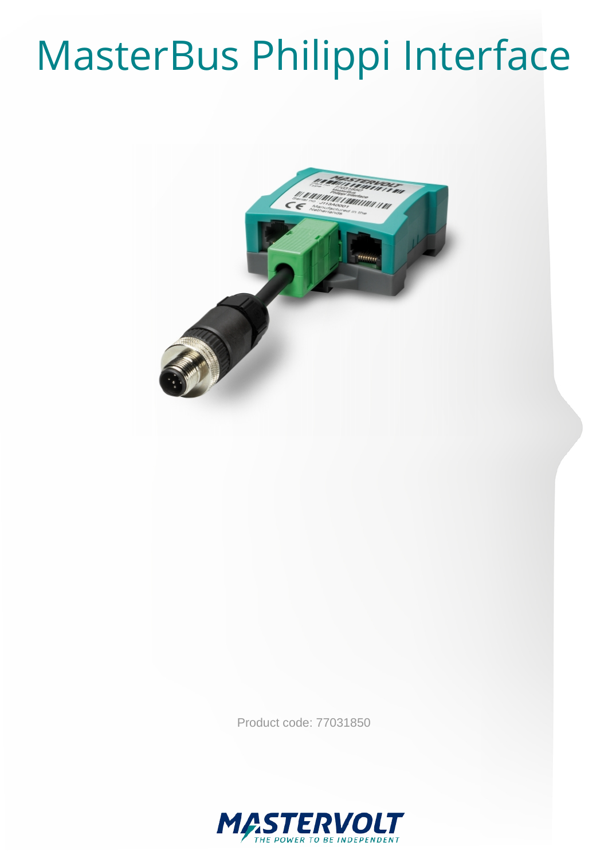# MasterBus Philippi Interface



Product code: 77031850

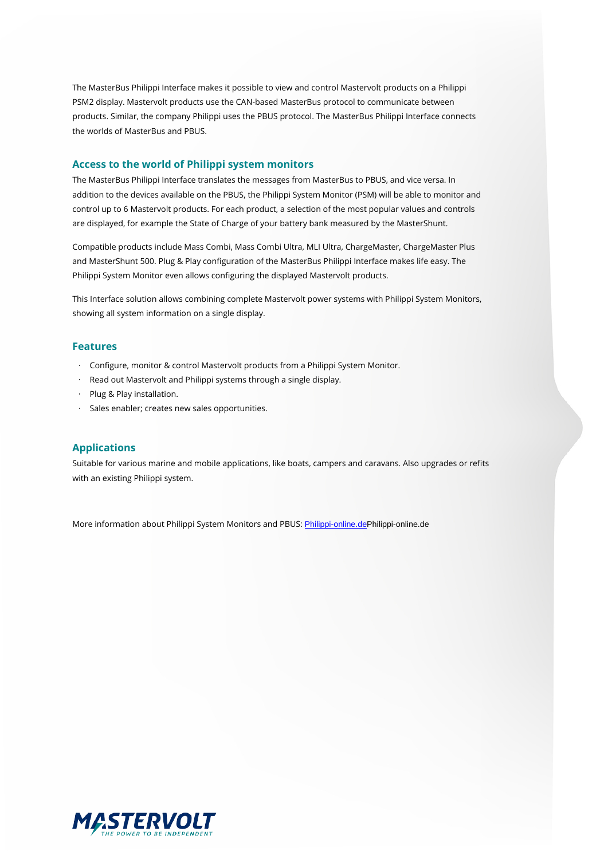The MasterBus Philippi Interface makes it possible to view and control Mastervolt products on a Philippi PSM2 display. Mastervolt products use the CAN-based MasterBus protocol to communicate between products. Similar, the company Philippi uses the PBUS protocol. The MasterBus Philippi Interface connects the worlds of MasterBus and PBUS.

#### **Access to the world of Philippi system monitors**

The MasterBus Philippi Interface translates the messages from MasterBus to PBUS, and vice versa. In addition to the devices available on the PBUS, the Philippi System Monitor (PSM) will be able to monitor and control up to 6 Mastervolt products. For each product, a selection of the most popular values and controls are displayed, for example the State of Charge of your battery bank measured by the MasterShunt.

Compatible products include Mass Combi, Mass Combi Ultra, MLI Ultra, ChargeMaster, ChargeMaster Plus and MasterShunt 500. Plug & Play configuration of the MasterBus Philippi Interface makes life easy. The Philippi System Monitor even allows configuring the displayed Mastervolt products.

This Interface solution allows combining complete Mastervolt power systems with Philippi System Monitors, showing all system information on a single display.

#### **Features**

- · Configure, monitor & control Mastervolt products from a Philippi System Monitor.
- · Read out Mastervolt and Philippi systems through a single display.
- · Plug & Play installation.
- · Sales enabler; creates new sales opportunities.

#### **Applications**

Suitable for various marine and mobile applications, like boats, campers and caravans. Also upgrades or refits with an existing Philippi system.

More information about Philippi System Monitors and PBUS: Philippi-online.dePhilippi-online.de